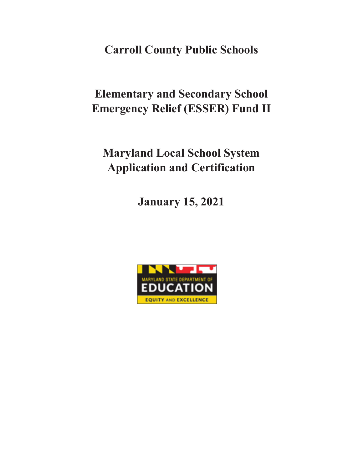**Carroll County Public Schools**

**Elementary and Secondary School Emergency Relief (ESSER) Fund II**

**Maryland Local School System Application and Certification**

**January 15, 2021**

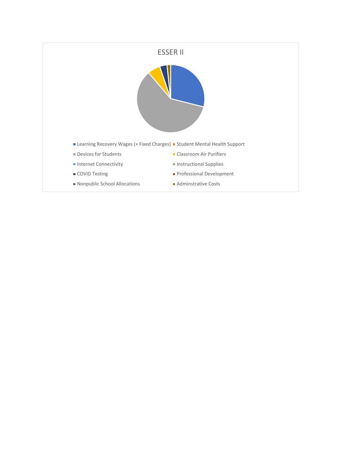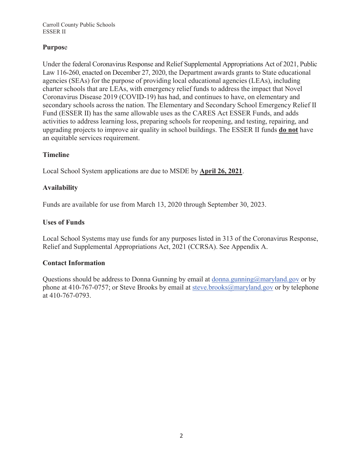# **Purpos**e

Under the federal Coronavirus Response and Relief Supplemental Appropriations Act of 2021, Public Law 116-260, enacted on December 27, 2020, the Department awards grants to State educational agencies (SEAs) for the purpose of providing local educational agencies (LEAs), including charter schools that are LEAs, with emergency relief funds to address the impact that Novel Coronavirus Disease 2019 (COVID-19) has had, and continues to have, on elementary and secondary schools across the nation. The Elementary and Secondary School Emergency Relief II Fund (ESSER II) has the same allowable uses as the CARES Act ESSER Funds, and adds activities to address learning loss, preparing schools for reopening, and testing, repairing, and upgrading projects to improve air quality in school buildings. The ESSER II funds **do not** have an equitable services requirement.

## **Timeline**

Local School System applications are due to MSDE by **April 26, 2021**.

## **Availability**

Funds are available for use from March 13, 2020 through September 30, 2023.

## **Uses of Funds**

Local School Systems may use funds for any purposes listed in 313 of the Coronavirus Response, Relief and Supplemental Appropriations Act, 2021 (CCRSA). See Appendix A.

## **Contact Information**

Questions should be address to Donna Gunning by email at donna.gunning $@$ maryland.gov or by phone at 410-767-0757; or Steve Brooks by email at steve.brooks@maryland.gov or by telephone at 410-767-0793.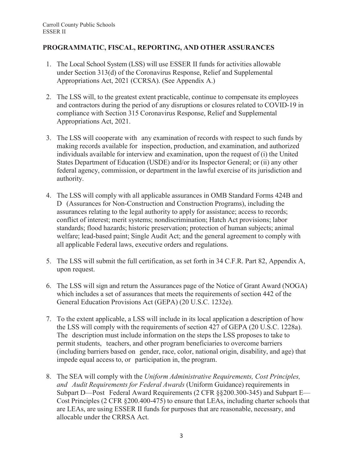# **PROGRAMMATIC, FISCAL, REPORTING, AND OTHER ASSURANCES**

- 1. The Local School System (LSS) will use ESSER II funds for activities allowable under Section 313(d) of the Coronavirus Response, Relief and Supplemental Appropriations Act, 2021 (CCRSA). (See Appendix A.)
- 2. The LSS will, to the greatest extent practicable, continue to compensate its employees and contractors during the period of any disruptions or closures related to COVID-19 in compliance with Section 315 Coronavirus Response, Relief and Supplemental Appropriations Act, 2021.
- 3. The LSS will cooperate with any examination of records with respect to such funds by making records available for inspection, production, and examination, and authorized individuals available for interview and examination, upon the request of (i) the United States Department of Education (USDE) and/or its Inspector General; or (ii) any other federal agency, commission, or department in the lawful exercise of its jurisdiction and authority.
- 4. The LSS will comply with all applicable assurances in OMB Standard Forms 424B and D (Assurances for Non-Construction and Construction Programs), including the assurances relating to the legal authority to apply for assistance; access to records; conflict of interest; merit systems; nondiscrimination; Hatch Act provisions; labor standards; flood hazards; historic preservation; protection of human subjects; animal welfare; lead-based paint; Single Audit Act; and the general agreement to comply with all applicable Federal laws, executive orders and regulations.
- 5. The LSS will submit the full certification, as set forth in 34 C.F.R. Part 82, Appendix A, upon request.
- 6. The LSS will sign and return the Assurances page of the Notice of Grant Award (NOGA) which includes a set of assurances that meets the requirements of section 442 of the General Education Provisions Act (GEPA) (20 U.S.C. 1232e).
- 7. To the extent applicable, a LSS will include in its local application a description of how the LSS will comply with the requirements of section 427 of GEPA (20 U.S.C. 1228a). The description must include information on the steps the LSS proposes to take to permit students, teachers, and other program beneficiaries to overcome barriers (including barriers based on gender, race, color, national origin, disability, and age) that impede equal access to, or participation in, the program.
- 8. The SEA will comply with the *Uniform Administrative Requirements, Cost Principles, and Audit Requirements for Federal Awards* (Uniform Guidance) requirements in Subpart D—Post Federal Award Requirements (2 CFR §§200.300-345) and Subpart E— Cost Principles (2 CFR §200.400-475) to ensure that LEAs, including charter schools that are LEAs, are using ESSER II funds for purposes that are reasonable, necessary, and allocable under the CRRSA Act.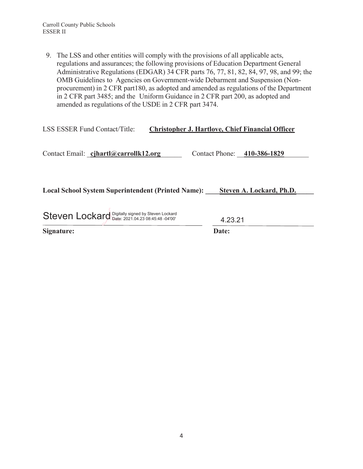9. The LSS and other entities will comply with the provisions of all applicable acts, regulations and assurances; the following provisions of Education Department General Administrative Regulations (EDGAR) 34 CFR parts 76, 77, 81, 82, 84, 97, 98, and 99; the OMB Guidelines to Agencies on Government-wide Debarment and Suspension (Nonprocurement) in 2 CFR part180, as adopted and amended as regulations of the Department in 2 CFR part 3485; and the Uniform Guidance in 2 CFR part 200, as adopted and amended as regulations of the USDE in 2 CFR part 3474.

| <b>LSS ESSER Fund Contact/Title:</b>                      | <b>Christopher J. Hartlove, Chief Financial Officer</b> |         |                             |
|-----------------------------------------------------------|---------------------------------------------------------|---------|-----------------------------|
| Contact Email: cjhartl@carrollk12.org                     |                                                         |         | Contact Phone: 410-386-1829 |
| <b>Local School System Superintendent (Printed Name):</b> |                                                         |         | Steven A. Lockard, Ph.D.    |
| Steven Lockard Digitally signed by Steven Lockard         |                                                         | 4.23.21 |                             |

**Signature: Date:**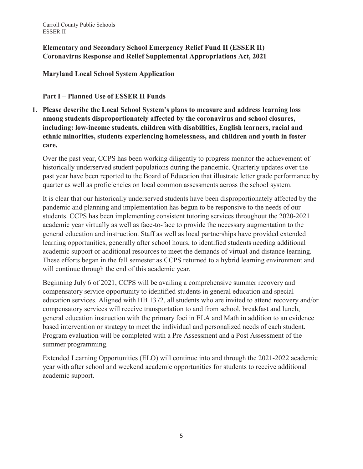**Elementary and Secondary School Emergency Relief Fund II (ESSER II) Coronavirus Response and Relief Supplemental Appropriations Act, 2021**

**Maryland Local School System Application**

**Part I – Planned Use of ESSER II Funds**

**1. Please describe the Local School System's plans to measure and address learning loss among students disproportionately affected by the coronavirus and school closures, including: low-income students, children with disabilities, English learners, racial and ethnic minorities, students experiencing homelessness, and children and youth in foster care.** 

Over the past year, CCPS has been working diligently to progress monitor the achievement of historically underserved student populations during the pandemic. Quarterly updates over the past year have been reported to the Board of Education that illustrate letter grade performance by quarter as well as proficiencies on local common assessments across the school system.

It is clear that our historically underserved students have been disproportionately affected by the pandemic and planning and implementation has begun to be responsive to the needs of our students. CCPS has been implementing consistent tutoring services throughout the 2020-2021 academic year virtually as well as face-to-face to provide the necessary augmentation to the general education and instruction. Staff as well as local partnerships have provided extended learning opportunities, generally after school hours, to identified students needing additional academic support or additional resources to meet the demands of virtual and distance learning. These efforts began in the fall semester as CCPS returned to a hybrid learning environment and will continue through the end of this academic year.

Beginning July 6 of 2021, CCPS will be availing a comprehensive summer recovery and compensatory service opportunity to identified students in general education and special education services. Aligned with HB 1372, all students who are invited to attend recovery and/or compensatory services will receive transportation to and from school, breakfast and lunch, general education instruction with the primary foci in ELA and Math in addition to an evidence based intervention or strategy to meet the individual and personalized needs of each student. Program evaluation will be completed with a Pre Assessment and a Post Assessment of the summer programming.

Extended Learning Opportunities (ELO) will continue into and through the 2021-2022 academic year with after school and weekend academic opportunities for students to receive additional academic support.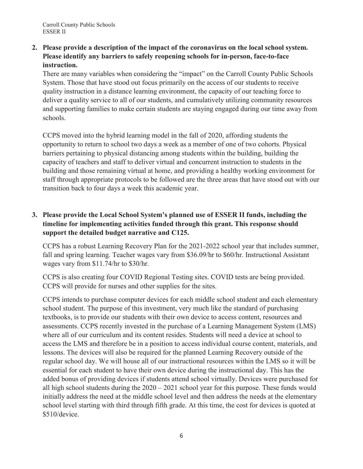**2. Please provide a description of the impact of the coronavirus on the local school system. Please identify any barriers to safely reopening schools for in-person, face-to-face instruction.**

There are many variables when considering the "impact" on the Carroll County Public Schools System. Those that have stood out focus primarily on the access of our students to receive quality instruction in a distance learning environment, the capacity of our teaching force to deliver a quality service to all of our students, and cumulatively utilizing community resources and supporting families to make certain students are staying engaged during our time away from schools.

CCPS moved into the hybrid learning model in the fall of 2020, affording students the opportunity to return to school two days a week as a member of one of two cohorts. Physical barriers pertaining to physical distancing among students within the building, building the capacity of teachers and staff to deliver virtual and concurrent instruction to students in the building and those remaining virtual at home, and providing a healthy working environment for staff through appropriate protocols to be followed are the three areas that have stood out with our transition back to four days a week this academic year.

# **3. Please provide the Local School System's planned use of ESSER II funds, including the timeline for implementing activities funded through this grant. This response should support the detailed budget narrative and C125.**

CCPS has a robust Learning Recovery Plan for the 2021-2022 school year that includes summer, fall and spring learning. Teacher wages vary from \$36.09/hr to \$60/hr. Instructional Assistant wages vary from \$11.74/hr to \$30/hr.

CCPS is also creating four COVID Regional Testing sites. COVID tests are being provided. CCPS will provide for nurses and other supplies for the sites.

CCPS intends to purchase computer devices for each middle school student and each elementary school student. The purpose of this investment, very much like the standard of purchasing textbooks, is to provide our students with their own device to access content, resources and assessments. CCPS recently invested in the purchase of a Learning Management System (LMS) where all of our curriculum and its content resides. Students will need a device at school to access the LMS and therefore be in a position to access individual course content, materials, and lessons. The devices will also be required for the planned Learning Recovery outside of the regular school day. We will house all of our instructional resources within the LMS so it will be essential for each student to have their own device during the instructional day. This has the added bonus of providing devices if students attend school virtually. Devices were purchased for all high school students during the 2020 – 2021 school year for this purpose. These funds would initially address the need at the middle school level and then address the needs at the elementary school level starting with third through fifth grade. At this time, the cost for devices is quoted at \$510/device.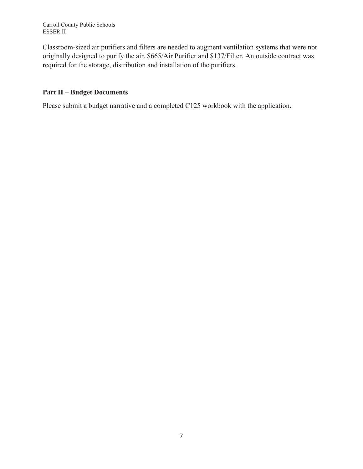Classroom-sized air purifiers and filters are needed to augment ventilation systems that were not originally designed to purify the air. \$665/Air Purifier and \$137/Filter. An outside contract was required for the storage, distribution and installation of the purifiers.

# **Part II – Budget Documents**

Please submit a budget narrative and a completed C125 workbook with the application.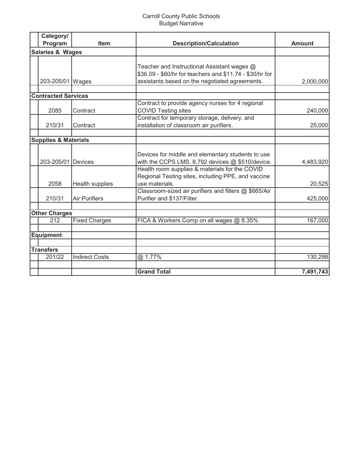## Carroll County Public Schools Budget Narrative

| Category/                       |                       |                                                          |               |
|---------------------------------|-----------------------|----------------------------------------------------------|---------------|
| Program                         | <b>Item</b>           | <b>Description/Calculation</b>                           | <b>Amount</b> |
| <b>Salaries &amp; Wages</b>     |                       |                                                          |               |
|                                 |                       |                                                          |               |
|                                 |                       | Teacher and Instructional Assistant wages @              |               |
|                                 |                       | \$36.09 - \$60/hr for teachers and \$11.74 - \$30/hr for |               |
| 203-205/01   Wages              |                       | assistants based on the negotiated agreements.           | 2,000,000     |
|                                 |                       |                                                          |               |
| <b>Contracted Services</b>      |                       |                                                          |               |
|                                 |                       | Contract to provide agency nurses for 4 regional         |               |
| 2085                            | Contract              | <b>COVID Testing sites</b>                               | 240,000       |
|                                 |                       | Contract for temporary storage, delivery, and            |               |
| 210/31                          | Contract              | installation of classroom air purifiers.                 | 25,000        |
|                                 |                       |                                                          |               |
| <b>Supplies &amp; Materials</b> |                       |                                                          |               |
|                                 |                       |                                                          |               |
| 203-205/01 Devices              |                       | Devices for middle and elementary students to use        |               |
|                                 |                       | with the CCPS LMS. 8,792 devices @ \$510/device.         | 4,483,920     |
|                                 |                       | Health room supplies & materials for the COVID           |               |
|                                 |                       | Regional Testing sites, including PPE, and vaccine       |               |
| 2058                            | Health supplies       | use materials.                                           | 20,525        |
|                                 |                       | Classroom-sized air purifiers and filters @ \$665/Air    |               |
| 210/31                          | <b>Air Purifiers</b>  | Purifier and \$137/Filter.                               | 425,000       |
| <b>Other Charges</b>            |                       |                                                          |               |
| 212                             | <b>Fixed Charges</b>  | FICA & Workers Comp on all wages @ 8.35%                 | 167,000       |
|                                 |                       |                                                          |               |
| <b>Equipment</b>                |                       |                                                          |               |
|                                 |                       |                                                          |               |
| <b>Transfers</b>                |                       |                                                          |               |
| 201/22                          | <b>Indirect Costs</b> | @ 1.77%                                                  | 130,298       |
|                                 |                       |                                                          |               |
|                                 |                       | <b>Grand Total</b>                                       | 7,491,743     |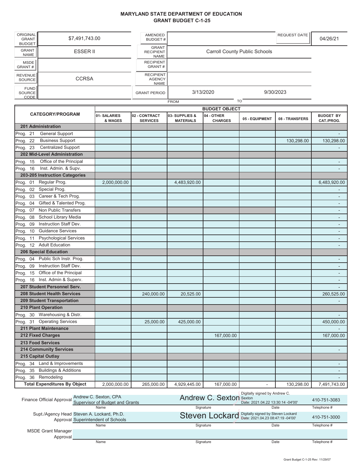#### **MARYLAND STATE DEPARTMENT OF EDUCATION GRANT BUDGET C-1-25**

| <b>ORIGINAL</b><br><b>GRANT</b><br><b>BUDGET</b> | \$7,491,743.00  | <b>AMENDED</b><br>BUDGET #                       |             |                                      | <b>REQUEST DATE</b> | 04/26/21 |
|--------------------------------------------------|-----------------|--------------------------------------------------|-------------|--------------------------------------|---------------------|----------|
| <b>GRANT</b><br><b>NAME</b>                      | <b>ESSER II</b> | <b>GRANT</b><br><b>RECIPIENT</b><br>NAME         |             | <b>Carroll County Public Schools</b> |                     |          |
| <b>MSDE</b><br>GRANT#                            |                 | <b>RECIPIENT</b><br>GRANT#                       |             |                                      |                     |          |
| <b>REVENUE</b><br><b>SOURCE</b>                  | <b>CCRSA</b>    | <b>RECIPIENT</b><br><b>AGENCY</b><br><b>NAME</b> |             |                                      |                     |          |
| <b>FUND</b><br><b>SOURCE</b><br><b>CODE</b>      |                 | <b>GRANT PERIOD</b>                              | 3/13/2020   | 9/30/2023                            |                     |          |
|                                                  |                 |                                                  | <b>FROM</b> | TO                                   |                     |          |

|                                              | <b>BUDGET OBJECT</b>   |                                  |                                   |                              |                          |                |                                |
|----------------------------------------------|------------------------|----------------------------------|-----------------------------------|------------------------------|--------------------------|----------------|--------------------------------|
| <b>CATEGORY/PROGRAM</b>                      | 01-SALARIES<br>& WAGES | 02 - CONTRACT<br><b>SERVICES</b> | 03-SUPPLIES &<br><b>MATERIALS</b> | 04 - OTHER<br><b>CHARGES</b> | 05 - EQUIPMENT           | 08 - TRANSFERS | <b>BUDGET BY</b><br>CAT./PROG. |
| 201 Administration                           |                        |                                  |                                   |                              |                          |                |                                |
| <b>General Support</b><br>Prog. 21           |                        |                                  |                                   |                              |                          |                |                                |
| <b>Business Support</b><br>Prog. 22          |                        |                                  |                                   |                              |                          | 130,298.00     | 130,298.00                     |
| <b>Centralized Support</b><br>Prog. 23       |                        |                                  |                                   |                              |                          |                |                                |
| 202 Mid-Level Administration                 |                        |                                  |                                   |                              |                          |                |                                |
| Office of the Principal<br>Prog.<br>15       |                        |                                  |                                   |                              |                          |                | L,                             |
| 16<br>Inst. Admin. & Supv.<br>Prog.          |                        |                                  |                                   |                              |                          |                | L,                             |
| 203-205 Instruction Categories               |                        |                                  |                                   |                              |                          |                |                                |
| 01<br>Regular Prog.<br>Prog.                 | 2,000,000.00           |                                  | 4,483,920.00                      |                              |                          |                | 6,483,920.00                   |
| Special Prog.<br>Prog. 02                    |                        |                                  |                                   |                              |                          |                |                                |
| Career & Tech Prog.<br>03<br>Prog.           |                        |                                  |                                   |                              |                          |                |                                |
| Gifted & Talented Prog.<br>Prog.<br>04       |                        |                                  |                                   |                              |                          |                | $\overline{a}$                 |
| Non Public Transfers<br>Prog.<br>07          |                        |                                  |                                   |                              |                          |                |                                |
| School Library Media<br>Prog.<br>08          |                        |                                  |                                   |                              |                          |                | $\overline{\phantom{a}}$       |
| Instruction Staff Dev.<br>Prog.<br>09        |                        |                                  |                                   |                              |                          |                | $\blacksquare$                 |
| <b>Guidance Services</b><br>10<br>Prog.      |                        |                                  |                                   |                              |                          |                |                                |
| <b>Psychological Services</b><br>11<br>Prog. |                        |                                  |                                   |                              |                          |                | $\blacksquare$                 |
| 12 Adult Education<br>Prog.                  |                        |                                  |                                   |                              |                          |                |                                |
| <b>206 Special Education</b>                 |                        |                                  |                                   |                              |                          |                |                                |
| 04 Public Sch Instr. Prog.<br>Prog.          |                        |                                  |                                   |                              |                          |                |                                |
| Instruction Staff Dev.<br>Prog.<br>09        |                        |                                  |                                   |                              |                          |                | $\overline{\phantom{a}}$       |
| Prog. 15 Office of the Principal             |                        |                                  |                                   |                              |                          |                |                                |
| Inst. Admin & Superv.<br>16<br>Prog.         |                        |                                  |                                   |                              |                          |                |                                |
| 207 Student Personnel Serv.                  |                        |                                  |                                   |                              |                          |                |                                |
| <b>208 Student Health Services</b>           |                        | 240,000.00                       | 20,525.00                         |                              |                          |                | 260,525.00                     |
| <b>209 Student Transportation</b>            |                        |                                  |                                   |                              |                          |                |                                |
| 210 Plant Operation                          |                        |                                  |                                   |                              |                          |                |                                |
| Prog. 30 Warehousing & Distr.                |                        |                                  |                                   |                              |                          |                | $\blacksquare$                 |
| Prog. 31 Operating Services                  |                        | 25,000.00                        | 425,000.00                        |                              |                          |                | 450,000.00                     |
| 211 Plant Maintenance                        |                        |                                  |                                   |                              |                          |                |                                |
| 212 Fixed Charges                            |                        |                                  |                                   | 167,000.00                   |                          |                | 167,000.00                     |
| <b>213 Food Services</b>                     |                        |                                  |                                   |                              |                          |                |                                |
| <b>214 Community Services</b>                |                        |                                  |                                   |                              |                          |                |                                |
| 215 Capital Outlay                           |                        |                                  |                                   |                              |                          |                |                                |
| 34 Land & Improvements<br>Prog.              |                        |                                  |                                   |                              |                          |                | $\blacksquare$                 |
| <b>Buildings &amp; Additions</b><br>Prog. 35 |                        |                                  |                                   |                              |                          |                |                                |
| Remodeling<br>36<br>Prog.                    |                        |                                  |                                   |                              |                          |                |                                |
| <b>Total Expenditures By Object</b>          | 2.000.000.00           | 265.000.00                       | 4.929.445.00                      | 167,000.00                   | $\overline{\phantom{a}}$ | 130.298.00     | 7,491,743.00                   |

|                           | Andrew C. Sexton, CPA<br>Finance Official Approval Supervisor of Budget and Grants | Andrew C. Sexton Sexton                           | Digitally signed by Andrew C.<br>Date: 2021.04.22 13:30:14 -04'00' | 410-751-3083 |
|---------------------------|------------------------------------------------------------------------------------|---------------------------------------------------|--------------------------------------------------------------------|--------------|
|                           | Name                                                                               | Signature                                         | Date                                                               | Telephone #  |
|                           | Supt./Agency Head Steven A. Lockard, Ph.D.<br>Approval Superintendent of Schools   | Steven Lockard Digitally signed by Steven Lockard |                                                                    | 410-751-3000 |
|                           | Name                                                                               | Signature                                         | Date                                                               | Telephone #  |
| <b>MSDE Grant Manager</b> |                                                                                    |                                                   |                                                                    |              |
| Approval                  |                                                                                    |                                                   |                                                                    |              |
|                           | Name                                                                               | Signature                                         | Date                                                               | Telephone #  |